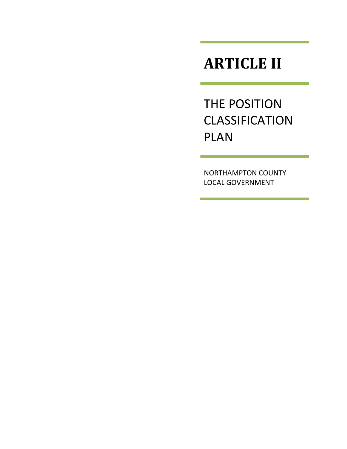# **ARTICLE II**

THE POSITION **CLASSIFICATION** PLAN

NORTHAMPTON COUNTY LOCAL GOVERNMENT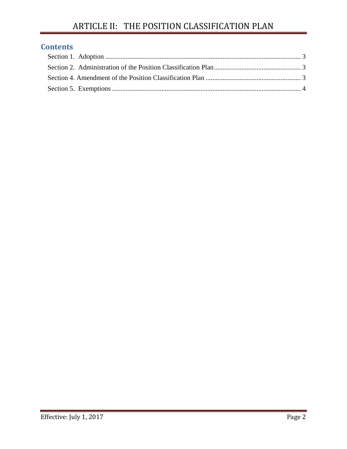# **Contents**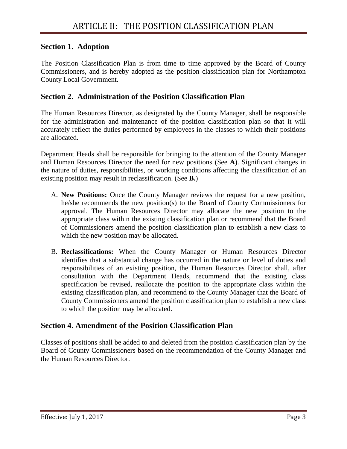### <span id="page-2-0"></span>**Section 1. Adoption**

The Position Classification Plan is from time to time approved by the Board of County Commissioners, and is hereby adopted as the position classification plan for Northampton County Local Government.

#### <span id="page-2-1"></span>**Section 2. Administration of the Position Classification Plan**

The Human Resources Director, as designated by the County Manager, shall be responsible for the administration and maintenance of the position classification plan so that it will accurately reflect the duties performed by employees in the classes to which their positions are allocated.

Department Heads shall be responsible for bringing to the attention of the County Manager and Human Resources Director the need for new positions (See **A**). Significant changes in the nature of duties, responsibilities, or working conditions affecting the classification of an existing position may result in reclassification. (See **B.**)

- A. **New Positions:** Once the County Manager reviews the request for a new position, he/she recommends the new position(s) to the Board of County Commissioners for approval. The Human Resources Director may allocate the new position to the appropriate class within the existing classification plan or recommend that the Board of Commissioners amend the position classification plan to establish a new class to which the new position may be allocated.
- B. **Reclassifications:** When the County Manager or Human Resources Director identifies that a substantial change has occurred in the nature or level of duties and responsibilities of an existing position, the Human Resources Director shall, after consultation with the Department Heads, recommend that the existing class specification be revised, reallocate the position to the appropriate class within the existing classification plan, and recommend to the County Manager that the Board of County Commissioners amend the position classification plan to establish a new class to which the position may be allocated.

#### <span id="page-2-2"></span>**Section 4. Amendment of the Position Classification Plan**

Classes of positions shall be added to and deleted from the position classification plan by the Board of County Commissioners based on the recommendation of the County Manager and the Human Resources Director.